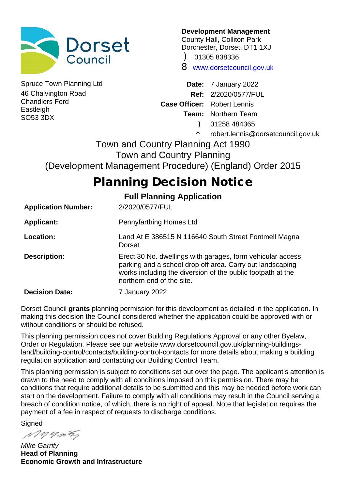

46 Chalvington Road Chandlers Ford **Eastleigh** SO53 3DX

**Development Management**

County Hall, Colliton Park Dorchester, Dorset, DT1 1XJ

) 01305 838336

8 www.dorsetcouncil.gov.uk

Spruce Town Planning Ltd **Date:** 7 January 2022 **Ref:** 2/2020/0577/FUL **Case Officer:** Robert Lennis **Team:** Northern Team ) 01258 484365

\* robert.lennis@dorsetcouncil.gov.uk

Town and Country Planning Act 1990 Town and Country Planning (Development Management Procedure) (England) Order 2015

# **Planning Decision Notice**

## **Full Planning Application**

| <b>Application Number:</b> | 2/2020/0577/FUL                                                                                                                                                                                                      |
|----------------------------|----------------------------------------------------------------------------------------------------------------------------------------------------------------------------------------------------------------------|
| <b>Applicant:</b>          | Pennyfarthing Homes Ltd                                                                                                                                                                                              |
| Location:                  | Land At E 386515 N 116640 South Street Fontmell Magna<br>Dorset                                                                                                                                                      |
| <b>Description:</b>        | Erect 30 No. dwellings with garages, form vehicular access,<br>parking and a school drop off area. Carry out landscaping<br>works including the diversion of the public footpath at the<br>northern end of the site. |
| <b>Decision Date:</b>      | 7 January 2022                                                                                                                                                                                                       |

Dorset Council **grants** planning permission for this development as detailed in the application. In making this decision the Council considered whether the application could be approved with or without conditions or should be refused.

This planning permission does not cover Building Regulations Approval or any other Byelaw, Order or Regulation. Please see our website www.dorsetcouncil.gov.uk/planning-buildingsland/building-control/contacts/building-control-contacts for more details about making a building regulation application and contacting our Building Control Team.

This planning permission is subject to conditions set out over the page. The applicant's attention is drawn to the need to comply with all conditions imposed on this permission. There may be conditions that require additional details to be submitted and this may be needed before work can start on the development. Failure to comply with all conditions may result in the Council serving a breach of condition notice, of which, there is no right of appeal. Note that legislation requires the payment of a fee in respect of requests to discharge conditions.

**Signed** 

Myning

*Mike Garrity* **Head of Planning Economic Growth and Infrastructure**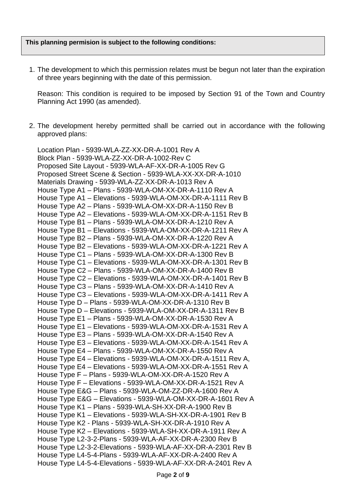#### **This planning permision is subject to the following conditions:**

1. The development to which this permission relates must be begun not later than the expiration of three years beginning with the date of this permission.

Reason: This condition is required to be imposed by Section 91 of the Town and Country Planning Act 1990 (as amended).

2. The development hereby permitted shall be carried out in accordance with the following approved plans:

Location Plan - 5939-WLA-ZZ-XX-DR-A-1001 Rev A Block Plan - 5939-WLA-ZZ-XX-DR-A-1002-Rev C Proposed Site Layout - 5939-WLA-AF-XX-DR-A-1005 Rev G Proposed Street Scene & Section - 5939-WLA-XX-XX-DR-A-1010 Materials Drawing - 5939-WLA-ZZ-XX-DR-A-1013 Rev A House Type A1 – Plans - 5939-WLA-OM-XX-DR-A-1110 Rev A House Type A1 – Elevations - 5939-WLA-OM-XX-DR-A-1111 Rev B House Type A2 – Plans - 5939-WLA-OM-XX-DR-A-1150 Rev B House Type A2 – Elevations - 5939-WLA-OM-XX-DR-A-1151 Rev B House Type B1 – Plans - 5939-WLA-OM-XX-DR-A-1210 Rev A House Type B1 – Elevations - 5939-WLA-OM-XX-DR-A-1211 Rev A House Type B2 – Plans - 5939-WLA-OM-XX-DR-A-1220 Rev A House Type B2 – Elevations - 5939-WLA-OM-XX-DR-A-1221 Rev A House Type C1 – Plans - 5939-WLA-OM-XX-DR-A-1300 Rev B House Type C1 – Elevations - 5939-WLA-OM-XX-DR-A-1301 Rev B House Type C2 – Plans - 5939-WLA-OM-XX-DR-A-1400 Rev B House Type C2 – Elevations - 5939-WLA-OM-XX-DR-A-1401 Rev B House Type C3 – Plans - 5939-WLA-OM-XX-DR-A-1410 Rev A House Type C3 – Elevations - 5939-WLA-OM-XX-DR-A-1411 Rev A House Type D – Plans - 5939-WLA-OM-XX-DR-A-1310 Rev B House Type D – Elevations - 5939-WLA-OM-XX-DR-A-1311 Rev B House Type E1 – Plans - 5939-WLA-OM-XX-DR-A-1530 Rev A House Type E1 – Elevations - 5939-WLA-OM-XX-DR-A-1531 Rev A House Type E3 – Plans - 5939-WLA-OM-XX-DR-A-1540 Rev A House Type E3 – Elevations - 5939-WLA-OM-XX-DR-A-1541 Rev A House Type E4 – Plans - 5939-WLA-OM-XX-DR-A-1550 Rev A House Type E4 – Elevations - 5939-WLA-OM-XX-DR-A-1511 Rev A, House Type E4 – Elevations - 5939-WLA-OM-XX-DR-A-1551 Rev A House Type F – Plans - 5939-WLA-OM-XX-DR-A-1520 Rev A House Type F – Elevations - 5939-WLA-OM-XX-DR-A-1521 Rev A House Type E&G – Plans - 5939-WLA-OM-ZZ-DR-A-1600 Rev A House Type E&G – Elevations - 5939-WLA-OM-XX-DR-A-1601 Rev A House Type K1 – Plans - 5939-WLA-SH-XX-DR-A-1900 Rev B House Type K1 – Elevations - 5939-WLA-SH-XX-DR-A-1901 Rev B House Type K2 - Plans - 5939-WLA-SH-XX-DR-A-1910 Rev A House Type K2 – Elevations - 5939-WLA-SH-XX-DR-A-1911 Rev A House Type L2-3-2-Plans - 5939-WLA-AF-XX-DR-A-2300 Rev B House Type L2-3-2-Elevations - 5939-WLA-AF-XX-DR-A-2301 Rev B House Type L4-5-4-Plans - 5939-WLA-AF-XX-DR-A-2400 Rev A House Type L4-5-4-Elevations - 5939-WLA-AF-XX-DR-A-2401 Rev A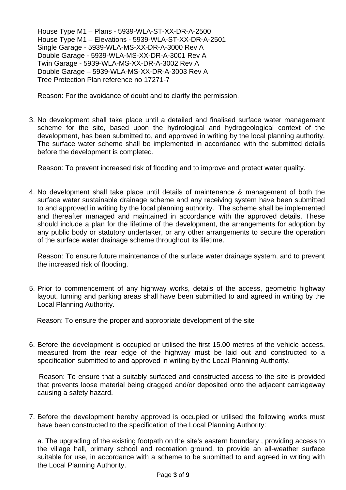House Type M1 – Plans - 5939-WLA-ST-XX-DR-A-2500 House Type M1 – Elevations - 5939-WLA-ST-XX-DR-A-2501 Single Garage - 5939-WLA-MS-XX-DR-A-3000 Rev A Double Garage - 5939-WLA-MS-XX-DR-A-3001 Rev A Twin Garage - 5939-WLA-MS-XX-DR-A-3002 Rev A Double Garage – 5939-WLA-MS-XX-DR-A-3003 Rev A Tree Protection Plan reference no 17271-7

Reason: For the avoidance of doubt and to clarify the permission.

3. No development shall take place until a detailed and finalised surface water management scheme for the site, based upon the hydrological and hydrogeological context of the development, has been submitted to, and approved in writing by the local planning authority. The surface water scheme shall be implemented in accordance with the submitted details before the development is completed.

Reason: To prevent increased risk of flooding and to improve and protect water quality.

4. No development shall take place until details of maintenance & management of both the surface water sustainable drainage scheme and any receiving system have been submitted to and approved in writing by the local planning authority. The scheme shall be implemented and thereafter managed and maintained in accordance with the approved details. These should include a plan for the lifetime of the development, the arrangements for adoption by any public body or statutory undertaker, or any other arrangements to secure the operation of the surface water drainage scheme throughout its lifetime.

Reason: To ensure future maintenance of the surface water drainage system, and to prevent the increased risk of flooding.

5. Prior to commencement of any highway works, details of the access, geometric highway layout, turning and parking areas shall have been submitted to and agreed in writing by the Local Planning Authority.

Reason: To ensure the proper and appropriate development of the site

6. Before the development is occupied or utilised the first 15.00 metres of the vehicle access, measured from the rear edge of the highway must be laid out and constructed to a specification submitted to and approved in writing by the Local Planning Authority.

Reason: To ensure that a suitably surfaced and constructed access to the site is provided that prevents loose material being dragged and/or deposited onto the adjacent carriageway causing a safety hazard.

7. Before the development hereby approved is occupied or utilised the following works must have been constructed to the specification of the Local Planning Authority:

a. The upgrading of the existing footpath on the site's eastern boundary , providing access to the village hall, primary school and recreation ground, to provide an all-weather surface suitable for use, in accordance with a scheme to be submitted to and agreed in writing with the Local Planning Authority.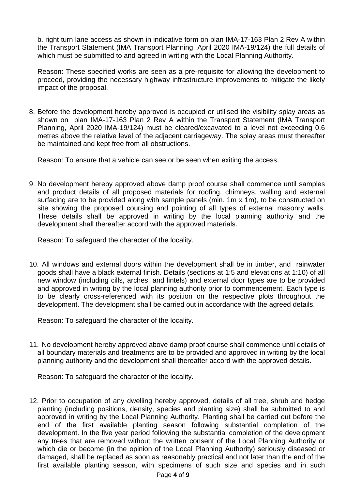b. right turn lane access as shown in indicative form on plan IMA-17-163 Plan 2 Rev A within the Transport Statement (IMA Transport Planning, April 2020 IMA-19/124) the full details of which must be submitted to and agreed in writing with the Local Planning Authority.

Reason: These specified works are seen as a pre-requisite for allowing the development to proceed, providing the necessary highway infrastructure improvements to mitigate the likely impact of the proposal.

8. Before the development hereby approved is occupied or utilised the visibility splay areas as shown on plan IMA-17-163 Plan 2 Rev A within the Transport Statement (IMA Transport Planning, April 2020 IMA-19/124) must be cleared/excavated to a level not exceeding 0.6 metres above the relative level of the adjacent carriageway. The splay areas must thereafter be maintained and kept free from all obstructions.

Reason: To ensure that a vehicle can see or be seen when exiting the access.

9. No development hereby approved above damp proof course shall commence until samples and product details of all proposed materials for roofing, chimneys, walling and external surfacing are to be provided along with sample panels (min. 1m x 1m), to be constructed on site showing the proposed coursing and pointing of all types of external masonry walls. These details shall be approved in writing by the local planning authority and the development shall thereafter accord with the approved materials.

Reason: To safeguard the character of the locality.

10. All windows and external doors within the development shall be in timber, and rainwater goods shall have a black external finish. Details (sections at 1:5 and elevations at 1:10) of all new window (including cills, arches, and lintels) and external door types are to be provided and approved in writing by the local planning authority prior to commencement. Each type is to be clearly cross-referenced with its position on the respective plots throughout the development. The development shall be carried out in accordance with the agreed details.

Reason: To safeguard the character of the locality.

11. No development hereby approved above damp proof course shall commence until details of all boundary materials and treatments are to be provided and approved in writing by the local planning authority and the development shall thereafter accord with the approved details.

Reason: To safeguard the character of the locality.

12. Prior to occupation of any dwelling hereby approved, details of all tree, shrub and hedge planting (including positions, density, species and planting size) shall be submitted to and approved in writing by the Local Planning Authority. Planting shall be carried out before the end of the first available planting season following substantial completion of the development. In the five year period following the substantial completion of the development any trees that are removed without the written consent of the Local Planning Authority or which die or become (in the opinion of the Local Planning Authority) seriously diseased or damaged, shall be replaced as soon as reasonably practical and not later than the end of the first available planting season, with specimens of such size and species and in such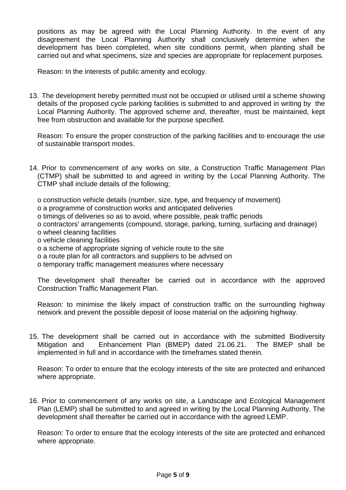positions as may be agreed with the Local Planning Authority. In the event of any disagreement the Local Planning Authority shall conclusively determine when the development has been completed, when site conditions permit, when planting shall be carried out and what specimens, size and species are appropriate for replacement purposes.

Reason: In the interests of public amenity and ecology.

13. The development hereby permitted must not be occupied or utilised until a scheme showing details of the proposed cycle parking facilities is submitted to and approved in writing by the Local Planning Authority. The approved scheme and, thereafter, must be maintained, kept free from obstruction and available for the purpose specified.

Reason: To ensure the proper construction of the parking facilities and to encourage the use of sustainable transport modes.

- 14. Prior to commencement of any works on site, a Construction Traffic Management Plan (CTMP) shall be submitted to and agreed in writing by the Local Planning Authority. The CTMP shall include details of the following;
	- o construction vehicle details (number, size, type, and frequency of movement)
	- o a programme of construction works and anticipated deliveries
	- o timings of deliveries so as to avoid, where possible, peak traffic periods
	- o contractors' arrangements (compound, storage, parking, turning, surfacing and drainage)
	- o wheel cleaning facilities
	- o vehicle cleaning facilities
	- o a scheme of appropriate signing of vehicle route to the site
	- o a route plan for all contractors and suppliers to be advised on
	- o temporary traffic management measures where necessary

The development shall thereafter be carried out in accordance with the approved Construction Traffic Management Plan.

Reason: to minimise the likely impact of construction traffic on the surrounding highway network and prevent the possible deposit of loose material on the adjoining highway.

15. The development shall be carried out in accordance with the submitted Biodiversity Mitigation and Enhancement Plan (BMEP) dated 21.06.21. The BMEP shall be implemented in full and in accordance with the timeframes stated therein.

Reason: To order to ensure that the ecology interests of the site are protected and enhanced where appropriate.

16. Prior to commencement of any works on site, a Landscape and Ecological Management Plan (LEMP) shall be submitted to and agreed in writing by the Local Planning Authority. The development shall thereafter be carried out in accordance with the agreed LEMP.

Reason: To order to ensure that the ecology interests of the site are protected and enhanced where appropriate.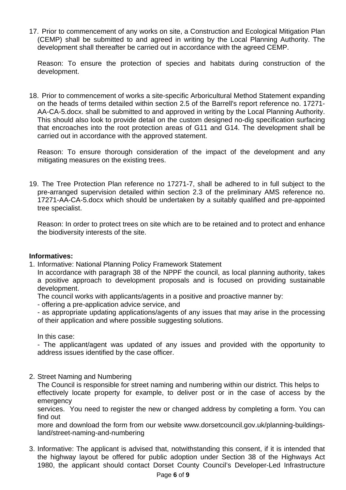17. Prior to commencement of any works on site, a Construction and Ecological Mitigation Plan (CEMP) shall be submitted to and agreed in writing by the Local Planning Authority. The development shall thereafter be carried out in accordance with the agreed CEMP.

Reason: To ensure the protection of species and habitats during construction of the development.

18. Prior to commencement of works a site-specific Arboricultural Method Statement expanding on the heads of terms detailed within section 2.5 of the Barrell's report reference no. 17271- AA-CA-5.docx. shall be submitted to and approved in writing by the Local Planning Authority. This should also look to provide detail on the custom designed no-dig specification surfacing that encroaches into the root protection areas of G11 and G14. The development shall be carried out in accordance with the approved statement.

Reason: To ensure thorough consideration of the impact of the development and any mitigating measures on the existing trees.

19. The Tree Protection Plan reference no 17271-7, shall be adhered to in full subject to the pre-arranged supervision detailed within section 2.3 of the preliminary AMS reference no. 17271-AA-CA-5.docx which should be undertaken by a suitably qualified and pre-appointed tree specialist.

Reason: In order to protect trees on site which are to be retained and to protect and enhance the biodiversity interests of the site.

#### **Informatives:**

1. Informative: National Planning Policy Framework Statement

In accordance with paragraph 38 of the NPPF the council, as local planning authority, takes a positive approach to development proposals and is focused on providing sustainable development.

The council works with applicants/agents in a positive and proactive manner by:

- offering a pre-application advice service, and

- as appropriate updating applications/agents of any issues that may arise in the processing of their application and where possible suggesting solutions.

In this case:

- The applicant/agent was updated of any issues and provided with the opportunity to address issues identified by the case officer.

2. Street Naming and Numbering

The Council is responsible for street naming and numbering within our district. This helps to effectively locate property for example, to deliver post or in the case of access by the emergency

services. You need to register the new or changed address by completing a form. You can find out

more and download the form from our website www.dorsetcouncil.gov.uk/planning-buildingsland/street-naming-and-numbering

3. Informative: The applicant is advised that, notwithstanding this consent, if it is intended that the highway layout be offered for public adoption under Section 38 of the Highways Act 1980, the applicant should contact Dorset County Council's Developer-Led Infrastructure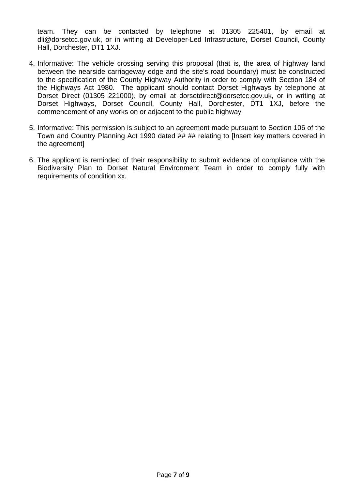team. They can be contacted by telephone at 01305 225401, by email at dli@dorsetcc.gov.uk, or in writing at Developer-Led Infrastructure, Dorset Council, County Hall, Dorchester, DT1 1XJ.

- 4. Informative: The vehicle crossing serving this proposal (that is, the area of highway land between the nearside carriageway edge and the site's road boundary) must be constructed to the specification of the County Highway Authority in order to comply with Section 184 of the Highways Act 1980. The applicant should contact Dorset Highways by telephone at Dorset Direct (01305 221000), by email at dorsetdirect@dorsetcc.gov.uk, or in writing at Dorset Highways, Dorset Council, County Hall, Dorchester, DT1 1XJ, before the commencement of any works on or adjacent to the public highway
- 5. Informative: This permission is subject to an agreement made pursuant to Section 106 of the Town and Country Planning Act 1990 dated ## ## relating to [Insert key matters covered in the agreement]
- 6. The applicant is reminded of their responsibility to submit evidence of compliance with the Biodiversity Plan to Dorset Natural Environment Team in order to comply fully with requirements of condition xx.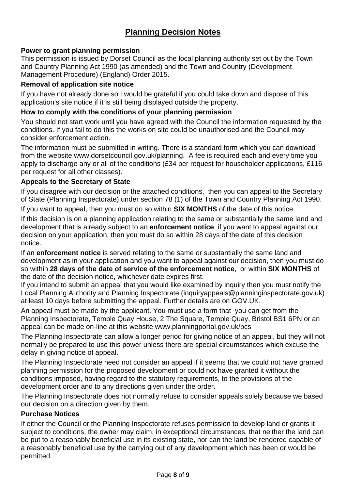# **Planning Decision Notes**

## **Power to grant planning permission**

This permission is issued by Dorset Council as the local planning authority set out by the Town and Country Planning Act 1990 (as amended) and the Town and Country (Development Management Procedure) (England) Order 2015.

## **Removal of application site notice**

If you have not already done so I would be grateful if you could take down and dispose of this application's site notice if it is still being displayed outside the property.

#### **How to comply with the conditions of your planning permission**

You should not start work until you have agreed with the Council the information requested by the conditions. If you fail to do this the works on site could be unauthorised and the Council may consider enforcement action.

The information must be submitted in writing. There is a standard form which you can download from the website www.dorsetcouncil.gov.uk/planning. A fee is required each and every time you apply to discharge any or all of the conditions (£34 per request for householder applications, £116 per request for all other classes).

#### **Appeals to the Secretary of State**

If you disagree with our decision or the attached conditions, then you can appeal to the Secretary of State (Planning Inspectorate) under section 78 (1) of the Town and Country Planning Act 1990.

If you want to appeal, then you must do so within **SIX MONTHS** of the date of this notice.

If this decision is on a planning application relating to the same or substantially the same land and development that is already subject to an **enforcement notice**, if you want to appeal against our decision on your application, then you must do so within 28 days of the date of this decision notice.

If an **enforcement notice** is served relating to the same or substantially the same land and development as in your application and you want to appeal against our decision, then you must do so within **28 days of the date of service of the enforcement notice**, or within **SIX MONTHS** of the date of the decision notice, whichever date expires first.

If you intend to submit an appeal that you would like examined by inquiry then you must notify the Local Planning Authority and Planning Inspectorate (inquiryappeals@planninginspectorate.gov.uk) at least 10 days before submitting the appeal. Further details are on GOV.UK.

An appeal must be made by the applicant. You must use a form that you can get from the Planning Inspectorate, Temple Quay House, 2 The Square, Temple Quay, Bristol BS1 6PN or an appeal can be made on-line at this website www.planningportal.gov.uk/pcs

The Planning Inspectorate can allow a longer period for giving notice of an appeal, but they will not normally be prepared to use this power unless there are special circumstances which excuse the delay in giving notice of appeal.

The Planning Inspectorate need not consider an appeal if it seems that we could not have granted planning permission for the proposed development or could not have granted it without the conditions imposed, having regard to the statutory requirements, to the provisions of the development order and to any directions given under the order.

The Planning Inspectorate does not normally refuse to consider appeals solely because we based our decision on a direction given by them.

#### **Purchase Notices**

If either the Council or the Planning Inspectorate refuses permission to develop land or grants it subject to conditions, the owner may claim, in exceptional circumstances, that neither the land can be put to a reasonably beneficial use in its existing state, nor can the land be rendered capable of a reasonably beneficial use by the carrying out of any development which has been or would be permitted.